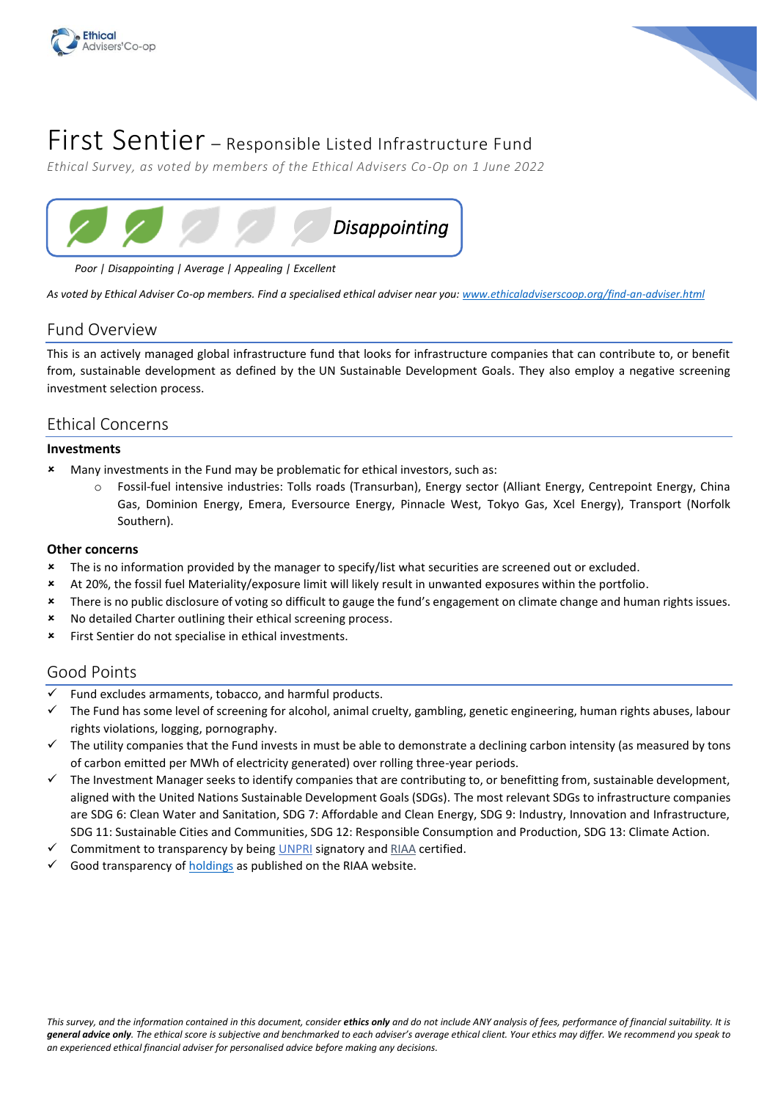



# First Sentier – Responsible Listed Infrastructure Fund

*Ethical Survey, as voted by members of the Ethical Advisers Co-Op on 1 June 2022*



*Poor | Disappointing | Average | Appealing | Excellent*

*As voted by Ethical Adviser Co-op members. Find a specialised ethical adviser near you: [www.ethicaladviserscoop.org/find-an-adviser.html](http://www.ethicaladviserscoop.org/find-an-adviser.html)*

# Fund Overview

This is an actively managed global infrastructure fund that looks for infrastructure companies that can contribute to, or benefit from, sustainable development as defined by the [UN Sustainable Development Goals.](https://www.un.org/sustainabledevelopment/climate-change/) They also employ a negative screening investment selection process.

# Ethical Concerns

### **Investments**

- Many investments in the Fund may be problematic for ethical investors, such as:
	- Fossil-fuel intensive industries: Tolls roads (Transurban), Energy sector (Alliant Energy, Centrepoint Energy, China Gas, Dominion Energy, Emera, Eversource Energy, Pinnacle West, Tokyo Gas, Xcel Energy), Transport (Norfolk Southern).

### **Other concerns**

- The is no information provided by the manager to specify/list what securities are screened out or excluded.
- At 20%, the fossil fuel Materiality/exposure limit will likely result in unwanted exposures within the portfolio.
- \* There is no public disclosure of voting so difficult to gauge the fund's engagement on climate change and human rights issues.
- No detailed Charter outlining their ethical screening process.
- **\*** First Sentier do not specialise in ethical investments.

# Good Points

- Fund excludes armaments, tobacco, and harmful products.
- ✓ The Fund has some level of screening for alcohol, animal cruelty, gambling, genetic engineering, human rights abuses, labour rights violations, logging, pornography.
- The utility companies that the Fund invests in must be able to demonstrate a declining carbon intensity (as measured by tons of carbon emitted per MWh of electricity generated) over rolling three-year periods.
- $\checkmark$  The Investment Manager seeks to identify companies that are contributing to, or benefitting from, sustainable development, aligned with the United Nations Sustainable Development Goals (SDGs). The most relevant SDGs to infrastructure companies are SDG 6: Clean Water and Sanitation, SDG 7: Affordable and Clean Energy, SDG 9: Industry, Innovation and Infrastructure, SDG 11: Sustainable Cities and Communities, SDG 12: Responsible Consumption and Production, SDG 13: Climate Action.
- Commitment to transparency by being [UNPRI](https://www.unpri.org/signatory-directory/first-sentier-investors-including-first-state-investments/1060.article) signatory and [RIAA](https://www.responsiblereturns.com.au/investment-options/first-sentier-responsible-listed-infrastructure-fund/profile) certified.
- Good transparency o[f holdings](https://www.firstsentierinvestors.com.au/content/dam/web/australia/fund-documents/responsible-listed-infrastructure-fund-full-holdings.pdf) as published on the RIAA website.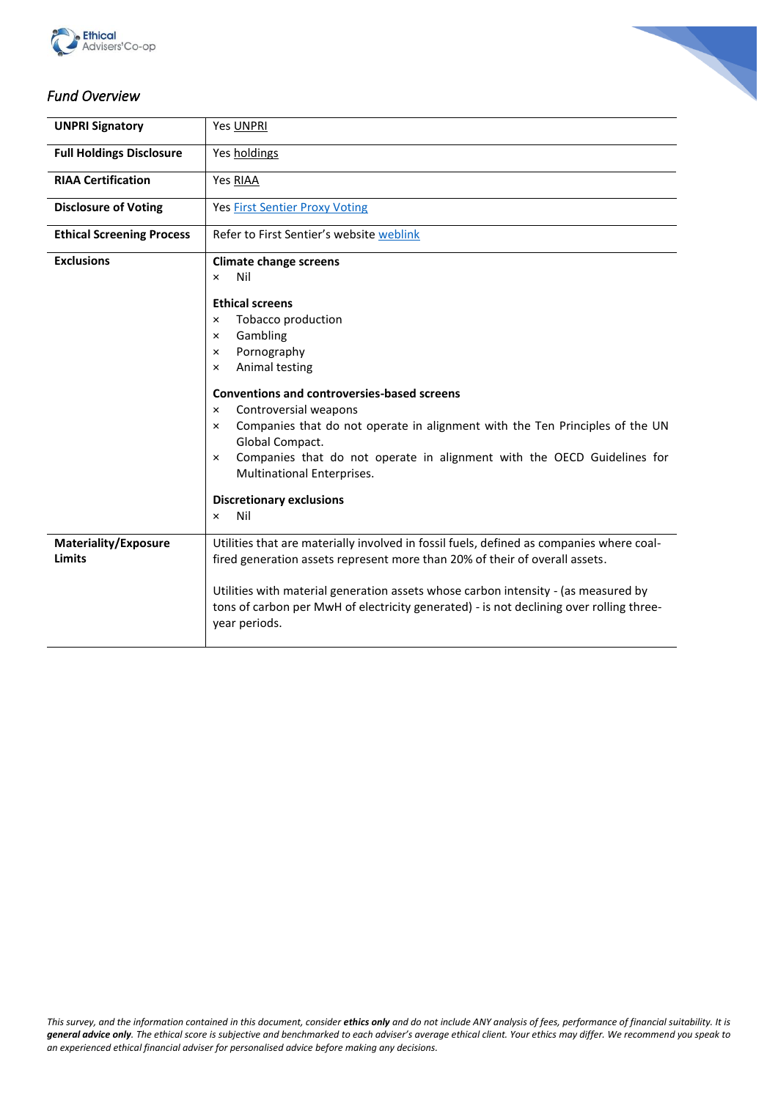



# *Fund Overview*

| <b>UNPRI Signatory</b>                | Yes UNPRI                                                                                                                                                                                                                                                                                                                                                                                                                                                                                                                                                                   |
|---------------------------------------|-----------------------------------------------------------------------------------------------------------------------------------------------------------------------------------------------------------------------------------------------------------------------------------------------------------------------------------------------------------------------------------------------------------------------------------------------------------------------------------------------------------------------------------------------------------------------------|
| <b>Full Holdings Disclosure</b>       | Yes holdings                                                                                                                                                                                                                                                                                                                                                                                                                                                                                                                                                                |
| <b>RIAA Certification</b>             | Yes RIAA                                                                                                                                                                                                                                                                                                                                                                                                                                                                                                                                                                    |
| <b>Disclosure of Voting</b>           | <b>Yes First Sentier Proxy Voting</b>                                                                                                                                                                                                                                                                                                                                                                                                                                                                                                                                       |
| <b>Ethical Screening Process</b>      | Refer to First Sentier's website weblink                                                                                                                                                                                                                                                                                                                                                                                                                                                                                                                                    |
| <b>Exclusions</b>                     | <b>Climate change screens</b><br>Nil<br>$\times$<br><b>Ethical screens</b><br>Tobacco production<br>$\times$<br>Gambling<br>$\times$<br>Pornography<br>$\times$<br>Animal testing<br>×<br><b>Conventions and controversies-based screens</b><br>Controversial weapons<br>$\times$<br>Companies that do not operate in alignment with the Ten Principles of the UN<br>$\times$<br>Global Compact.<br>Companies that do not operate in alignment with the OECD Guidelines for<br>$\times$<br>Multinational Enterprises.<br><b>Discretionary exclusions</b><br>Nil<br>$\times$ |
| Materiality/Exposure<br><b>Limits</b> | Utilities that are materially involved in fossil fuels, defined as companies where coal-<br>fired generation assets represent more than 20% of their of overall assets.                                                                                                                                                                                                                                                                                                                                                                                                     |
|                                       | Utilities with material generation assets whose carbon intensity - (as measured by<br>tons of carbon per MwH of electricity generated) - is not declining over rolling three-<br>year periods.                                                                                                                                                                                                                                                                                                                                                                              |